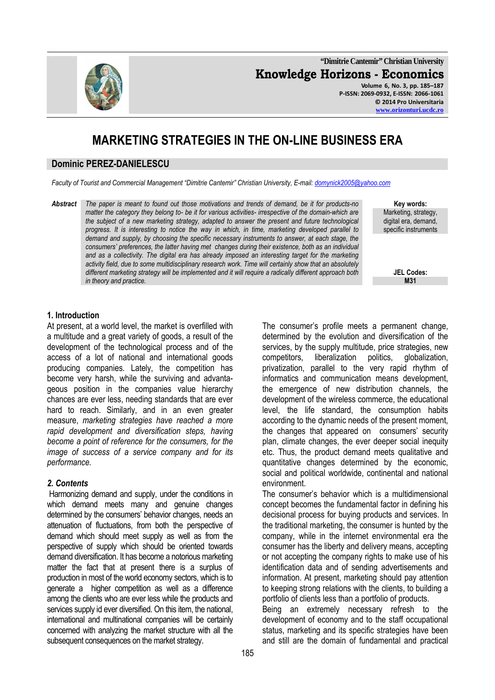**"Dimitrie Cantemir" Christian University Knowledge Horizons - Economics Volume 6, No. 3, pp. 185–187 P-ISSN: 2069-0932, E-ISSN: 2066-1061 © 2014 Pro Universitaria** 

# **MARKETING STRATEGIES IN THE ON-LINE BUSINESS ERA**

#### **Dominic PEREZ-DANIELESCU**

*Faculty of Tourist and Commercial Management "Dimitrie Cantemir" Christian University, E-mail: domynick2005@yahoo.com*

*Abstract The paper is meant to found out those motivations and trends of demand, be it for products-no matter the category they belong to- be it for various activities- irrespective of the domain-which are the subject of a new marketing strategy, adapted to answer the present and future technological progress. It is interesting to notice the way in which, in time, marketing developed parallel to demand and supply, by choosing the specific necessary instruments to answer, at each stage, the consumers' preferences, the latter having met changes during their existence, both as an individual*  and as a collectivity. The digital era has already imposed an interesting target for the marketing *activity field, due to some multidisciplinary research work. Time will certainly show that an absolutely different marketing strategy will be implemented and it will require a radically different approach both*   $\mathbf{A}$  *in theory and practice.* 

**Key words:**  Marketing, strategy, digital era, demand, specific instruments

**JEL Codes:**

#### **1. Introduction**

At present, at a world level, the market is overfilled with a multitude and a great variety of goods, a result of the development of the technological process and of the access of a lot of national and international goods producing companies. Lately, the competition has become very harsh, while the surviving and advantageous position in the companies value hierarchy chances are ever less, needing standards that are ever hard to reach. Similarly, and in an even greater measure, *marketing strategies have reached a more rapid development and diversification steps, having become a point of reference for the consumers, for the image of success of a service company and for its performance.*

#### *2. Contents*

 Harmonizing demand and supply, under the conditions in which demand meets many and genuine changes determined by the consumers' behavior changes, needs an attenuation of fluctuations, from both the perspective of demand which should meet supply as well as from the perspective of supply which should be oriented towards demand diversification. It has become a notorious marketing matter the fact that at present there is a surplus of production in most of the world economy sectors, which is to generate a higher competition as well as a difference among the clients who are ever less while the products and services supply id ever diversified. On this item, the national, international and multinational companies will be certainly concerned with analyzing the market structure with all the subsequent consequences on the market strategy.

The consumer's profile meets a permanent change, determined by the evolution and diversification of the services, by the supply multitude, price strategies, new competitors, liberalization politics, globalization, privatization, parallel to the very rapid rhythm of informatics and communication means development, the emergence of new distribution channels, the development of the wireless commerce, the educational level, the life standard, the consumption habits according to the dynamic needs of the present moment, the changes that appeared on consumers' security plan, climate changes, the ever deeper social inequity etc. Thus, the product demand meets qualitative and quantitative changes determined by the economic, social and political worldwide, continental and national environment.

The consumer's behavior which is a multidimensional concept becomes the fundamental factor in defining his decisional process for buying products and services. In the traditional marketing, the consumer is hunted by the company, while in the internet environmental era the consumer has the liberty and delivery means, accepting or not accepting the company rights to make use of his identification data and of sending advertisements and information. At present, marketing should pay attention to keeping strong relations with the clients, to building a portfolio of clients less than a portfolio of products.

Being an extremely necessary refresh to the development of economy and to the staff occupational status, marketing and its specific strategies have been and still are the domain of fundamental and practical

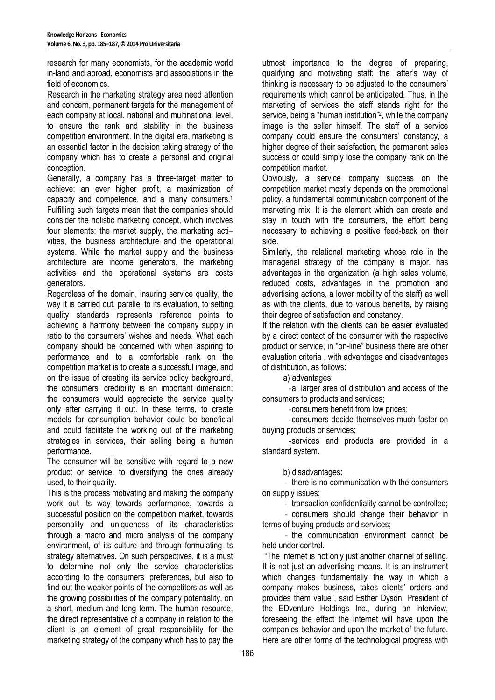research for many economists, for the academic world in-land and abroad, economists and associations in the field of economics.

Research in the marketing strategy area need attention and concern, permanent targets for the management of each company at local, national and multinational level, to ensure the rank and stability in the business competition environment. In the digital era, marketing is an essential factor in the decision taking strategy of the company which has to create a personal and original conception.

Generally, a company has a three-target matter to achieve: an ever higher profit, a maximization of capacity and competence, and a many consumers.<sup>1</sup> Fulfilling such targets mean that the companies should consider the holistic marketing concept, which involves four elements: the market supply, the marketing activities, the business architecture and the operational systems. While the market supply and the business architecture are income generators, the marketing activities and the operational systems are costs generators.

Regardless of the domain, insuring service quality, the way it is carried out, parallel to its evaluation, to setting quality standards represents reference points to achieving a harmony between the company supply in ratio to the consumers' wishes and needs. What each company should be concerned with when aspiring to performance and to a comfortable rank on the competition market is to create a successful image, and on the issue of creating its service policy background, the consumers' credibility is an important dimension; the consumers would appreciate the service quality only after carrying it out. In these terms, to create models for consumption behavior could be beneficial and could facilitate the working out of the marketing strategies in services, their selling being a human performance.

The consumer will be sensitive with regard to a new product or service, to diversifying the ones already used, to their quality.

This is the process motivating and making the company work out its way towards performance, towards a successful position on the competition market, towards personality and uniqueness of its characteristics through a macro and micro analysis of the company environment, of its culture and through formulating its strategy alternatives. On such perspectives, it is a must to determine not only the service characteristics according to the consumers' preferences, but also to find out the weaker points of the competitors as well as the growing possibilities of the company potentiality, on a short, medium and long term. The human resource, the direct representative of a company in relation to the client is an element of great responsibility for the marketing strategy of the company which has to pay the

utmost importance to the degree of preparing, qualifying and motivating staff; the latter's way of thinking is necessary to be adjusted to the consumers' requirements which cannot be anticipated. Thus, in the marketing of services the staff stands right for the service, being a "human institution"<sup>2</sup> , while the company image is the seller himself. The staff of a service company could ensure the consumers' constancy, a higher degree of their satisfaction, the permanent sales success or could simply lose the company rank on the competition market.

Obviously, a service company success on the competition market mostly depends on the promotional policy, a fundamental communication component of the marketing mix. It is the element which can create and stay in touch with the consumers, the effort being necessary to achieving a positive feed-back on their side.

Similarly, the relational marketing whose role in the managerial strategy of the company is major, has advantages in the organization (a high sales volume, reduced costs, advantages in the promotion and advertising actions, a lower mobility of the staff) as well as with the clients, due to various benefits, by raising their degree of satisfaction and constancy.

If the relation with the clients can be easier evaluated by a direct contact of the consumer with the respective product or service, in "on-line" business there are other evaluation criteria , with advantages and disadvantages of distribution, as follows:

a) advantages:

-a larger area of distribution and access of the consumers to products and services;

-consumers benefit from low prices;

-consumers decide themselves much faster on buying products or services;

-services and products are provided in a standard system.

b) disadvantages:

- there is no communication with the consumers on supply issues;

- transaction confidentiality cannot be controlled;

- consumers should change their behavior in terms of buying products and services;

- the communication environment cannot be held under control.

 "The internet is not only just another channel of selling. It is not just an advertising means. It is an instrument which changes fundamentally the way in which a company makes business, takes clients' orders and provides them value", said Esther Dyson, President of the EDventure Holdings Inc., during an interview, foreseeing the effect the internet will have upon the companies behavior and upon the market of the future. Here are other forms of the technological progress with